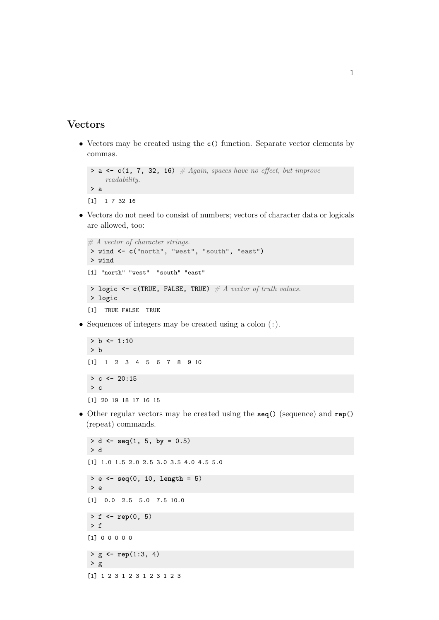## Vectors

• Vectors may be created using the **c**() function. Separate vector elements by commas.

```
> a \leftarrow c(1, 7, 32, 16) # Again, spaces have no effect, but improve
     readability.
> a
[1] 1 7 32 16
```
• Vectors do not need to consist of numbers; vectors of character data or logicals are allowed, too:

```
# A vector of character strings.
> wind <- c("north", "west", "south", "east")
> wind
[1] "north" "west" "south" "east"
> logic \leq c(TRUE, FALSE, TRUE) \# A vector of truth values.
> logic
[1] TRUE FALSE TRUE
```
• Sequences of integers may be created using a colon (:).

```
> b <- 1:10
> b
[1] 1 2 3 4 5 6 7 8 9 10
> c \leq 20:15> c
[1] 20 19 18 17 16 15
```
• Other regular vectors may be created using the **seq**() (sequence) and **rep**() (repeat) commands.

```
> d <- seq(1, 5, by = 0.5)
> d
[1] 1.0 1.5 2.0 2.5 3.0 3.5 4.0 4.5 5.0
> e <- seq(0, 10, length = 5)
> e[1] 0.0 2.5 5.0 7.5 10.0
> f <- rep(0, 5)
> f[1] 0 0 0 0 0
> g <- rep(1:3, 4)
> g[1] 1 2 3 1 2 3 1 2 3 1 2 3
```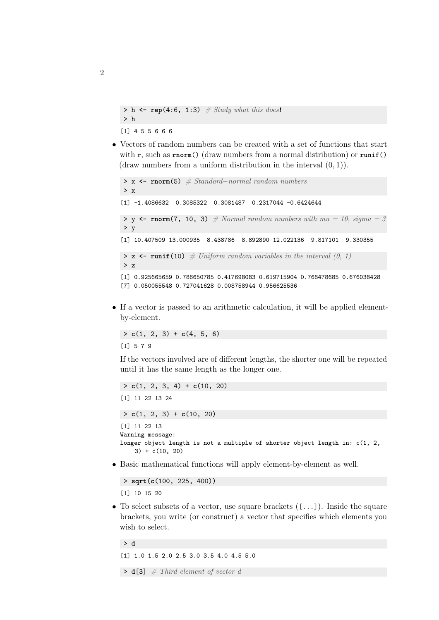```
> h \leq \text{rep}(4:6, 1:3) \neq Study what this does!> h
[1] 4 5 5 6 6 6
```
• Vectors of random numbers can be created with a set of functions that start with r, such as **rnorm**() (draw numbers from a normal distribution) or **runif**() (draw numbers from a uniform distribution in the interval  $(0, 1)$ ).

```
> x <- rnorm(5) # Standard−normal random numbers
> x[1] -1.4086632 0.3085322 0.3081487 0.2317044 -0.6424644
\rightarrow y \leftarrow rnorm(7, 10, 3) # Normal random numbers with mu = 10, sigma = 3
> y
[1] 10.407509 13.000935 8.438786 8.892890 12.022136 9.817101 9.330355
> z \le runif(10) \# Uniform random variables in the interval (0, 1)> z[1] 0.925665659 0.786650785 0.417698083 0.619715904 0.768478685 0.676038428
[7] 0.050055548 0.727041628 0.008758944 0.956625536
```
• If a vector is passed to an arithmetic calculation, it will be applied elementby-element.

 $> c(1, 2, 3) + c(4, 5, 6)$ [1] 5 7 9

If the vectors involved are of different lengths, the shorter one will be repeated until it has the same length as the longer one.

```
> c(1, 2, 3, 4) + c(10, 20)
[1] 11 22 13 24
> c(1, 2, 3) + c(10, 20)[1] 11 22 13
Warning message:
longer object length is not a multiple of shorter object length in: c(1, 2,
    3) + c(10, 20)
```
• Basic mathematical functions will apply element-by-element as well.

```
> sqrt(c(100, 225, 400))
[1] 10 15 20
```
• To select subsets of a vector, use square brackets  $($ [...]). Inside the square brackets, you write (or construct) a vector that specifies which elements you wish to select.

```
> d
[1] 1.0 1.5 2.0 2.5 3.0 3.5 4.0 4.5 5.0
\triangleright d[3] \# Third element of vector d
```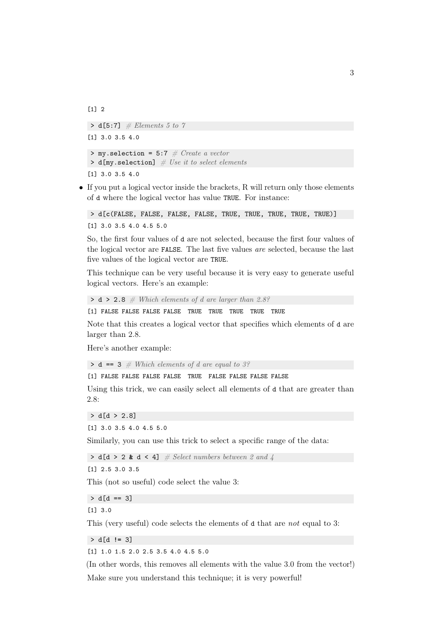[1] 2

 $\triangleright$  d[5:7] # Elements 5 to 7 [1] 3.0 3.5 4.0  $>$  my.selection = 5:7 # Create a vector  $> d[my.selectron]$  # Use it to select elements [1] 3.0 3.5 4.0

• If you put a logical vector inside the brackets, R will return only those elements of d where the logical vector has value TRUE. For instance:

```
> d[c(FALSE, FALSE, FALSE, FALSE, TRUE, TRUE, TRUE, TRUE, TRUE)]
[1] 3.0 3.5 4.0 4.5 5.0
```
So, the first four values of d are not selected, because the first four values of the logical vector are FALSE. The last five values are selected, because the last five values of the logical vector are TRUE.

This technique can be very useful because it is very easy to generate useful logical vectors. Here's an example:

```
> d > 2.8 # Which elements of d are larger than 2.8?
```
[1] FALSE FALSE FALSE FALSE TRUE TRUE TRUE TRUE TRUE

Note that this creates a logical vector that specifies which elements of d are larger than 2.8.

Here's another example:

 $\triangleright$  **d** == 3 # Which elements of d are equal to 3?

[1] FALSE FALSE FALSE FALSE TRUE FALSE FALSE FALSE FALSE

Using this trick, we can easily select all elements of d that are greater than 2.8:

```
> d[d > 2.8]
```

```
[1] 3.0 3.5 4.0 4.5 5.0
```
Similarly, you can use this trick to select a specific range of the data:

```
> d[d > 2 \& d < 4] \# Select numbers between 2 and 4
```
[1] 2.5 3.0 3.5

This (not so useful) code select the value 3:

 $> d[d == 3]$ 

[1] 3.0

This (very useful) code selects the elements of d that are not equal to 3:

> d[d **!=** 3]

[1] 1.0 1.5 2.0 2.5 3.5 4.0 4.5 5.0

(In other words, this removes all elements with the value 3.0 from the vector!) Make sure you understand this technique; it is very powerful!